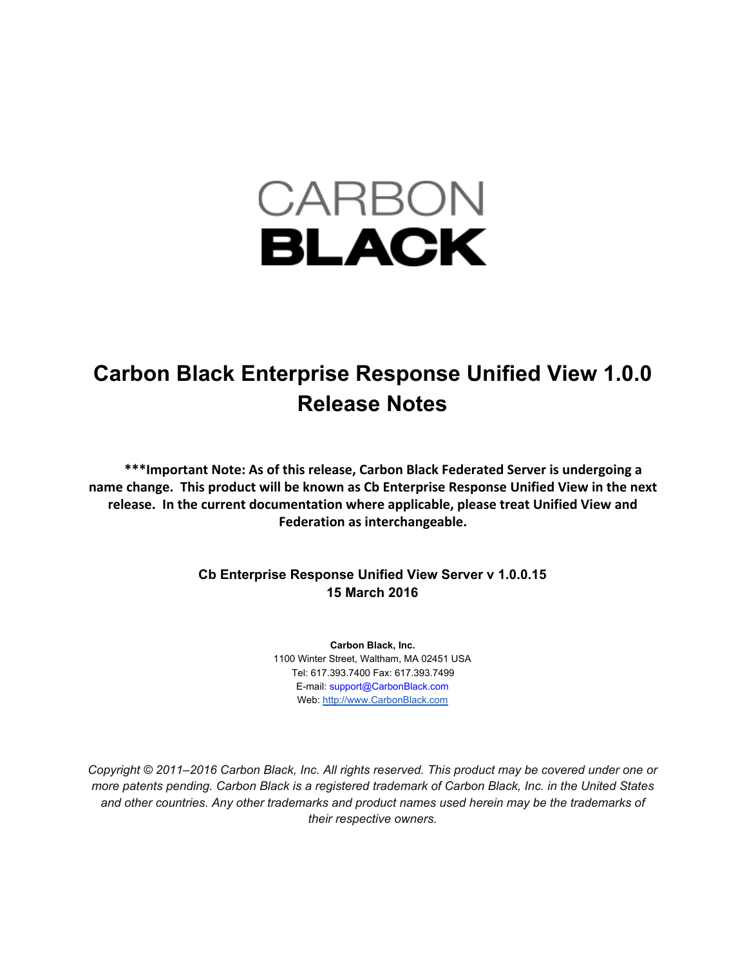# CARBON **BLACK**

# **Carbon Black Enterprise Response Unified View 1.0.0 Release Notes**

**\*\*\*Important Note: As of this release, Carbon Black Federated Server is undergoing a name change. This product will be known as Cb Enterprise Response Unified View in the next release. In the current documentation where applicable, please treat Unified View and Federation as interchangeable.**

#### **Cb Enterprise Response Unified View Server v 1.0.0.15 15 March 2016**

**Carbon Black, Inc.** 1100 Winter Street, Waltham, MA 02451 USA Tel: 617.393.7400 Fax: 617.393.7499 Email: support@CarbonBlack.com Web[:](http://www.bit9.com/) [http://www.CarbonBlack.com](http://www.carbonblack.com/)

*Copyright © 2011–2016 Carbon Black, Inc. All rights reserved. This product may be covered under one or more patents pending. Carbon Black is a registered trademark of Carbon Black, Inc. in the United States and other countries. Any other trademarks and product names used herein may be the trademarks of their respective owners.*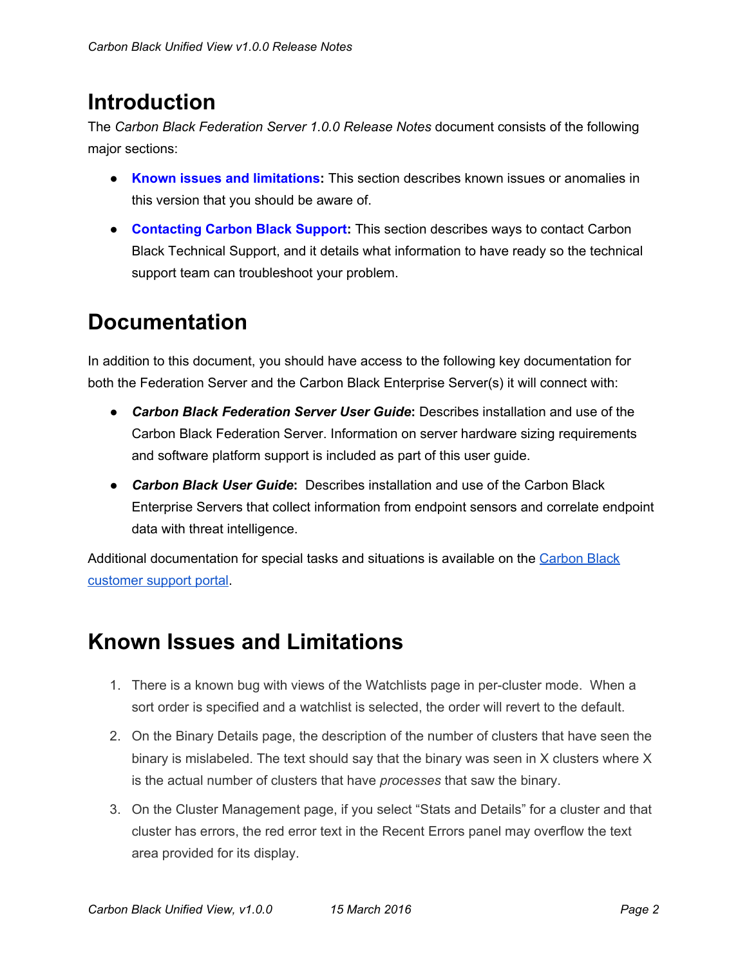### **Introduction**

The *Carbon Black Federation Server 1.0.0 Release Notes* document consists of the following major sections:

- **Known issues and limitations:**This section describes known issues or anomalies in this version that you should be aware of.
- **Contacting Carbon Black Support:**This section describes ways to contact Carbon Black Technical Support, and it details what information to have ready so the technical support team can troubleshoot your problem.

## **Documentation**

In addition to this document, you should have access to the following key documentation for both the Federation Server and the Carbon Black Enterprise Server(s) it will connect with:

- *Carbon Black Federation Server User Guide***:**Describes installation and use of the Carbon Black Federation Server. Information on server hardware sizing requirements and software platform support is included as part of this user guide.
- *Carbon Black User Guide*: Describes installation and use of the Carbon Black Enterprise Servers that collect information from endpoint sensors and correlate endpoint data with threat intelligence.

Additional documentation for special tasks and situations is available on the [Carbon](https://bit9.my.salesforce.com/) Black [customer](https://bit9.my.salesforce.com/) support portal.

#### **Known Issues and Limitations**

- 1. There is a known bug with views of the Watchlists page in percluster mode. When a sort order is specified and a watchlist is selected, the order will revert to the default.
- 2. On the Binary Details page, the description of the number of clusters that have seen the binary is mislabeled. The text should say that the binary was seen in X clusters where X is the actual number of clusters that have *processes* that saw the binary.
- 3. On the Cluster Management page, if you select "Stats and Details" for a cluster and that cluster has errors, the red error text in the Recent Errors panel may overflow the text area provided for its display.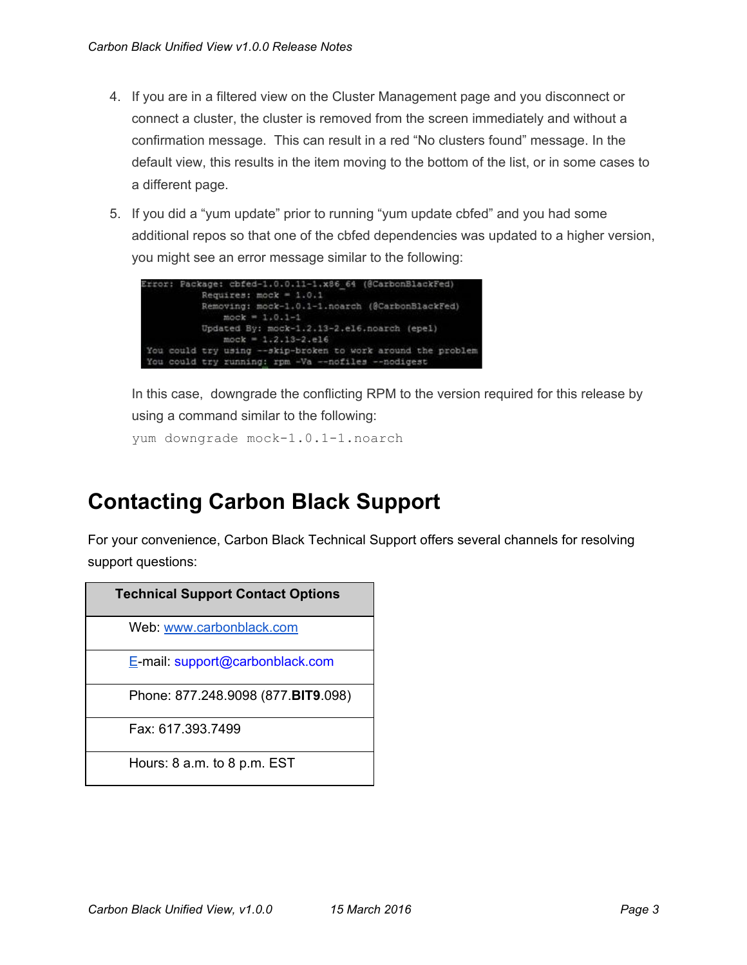- 4. If you are in a filtered view on the Cluster Management page and you disconnect or connect a cluster, the cluster is removed from the screen immediately and without a confirmation message. This can result in a red "No clusters found" message. In the default view, this results in the item moving to the bottom of the list, or in some cases to a different page.
- 5. If you did a "yum update" prior to running "yum update cbfed" and you had some additional repos so that one of the cbfed dependencies was updated to a higher version, you might see an error message similar to the following:



In this case, downgrade the conflicting RPM to the version required for this release by using a command similar to the following:

yum downgrade mock-1.0.1-1.noarch

#### **Contacting Carbon Black Support**

For your convenience, Carbon Black Technical Support offers several channels for resolving support questions:

| <b>Technical Support Contact Options</b> |
|------------------------------------------|
| Web: www.carbonblack.com                 |
| E-mail: support@carbonblack.com          |
| Phone: 877.248.9098 (877.BIT9.098)       |
| Fax: 617, 393, 7499                      |
| Hours: $8$ a.m. to $8$ p.m. EST          |